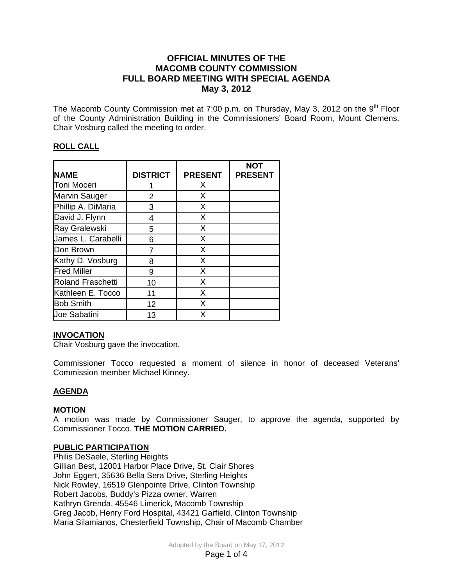# **OFFICIAL MINUTES OF THE MACOMB COUNTY COMMISSION FULL BOARD MEETING WITH SPECIAL AGENDA May 3, 2012**

The Macomb County Commission met at 7:00 p.m. on Thursday, May 3, 2012 on the  $9<sup>th</sup>$  Floor of the County Administration Building in the Commissioners' Board Room, Mount Clemens. Chair Vosburg called the meeting to order.

# **ROLL CALL**

|                      |                 |                | <b>NOT</b>     |
|----------------------|-----------------|----------------|----------------|
| <b>NAME</b>          | <b>DISTRICT</b> | <b>PRESENT</b> | <b>PRESENT</b> |
| Toni Moceri          |                 | X              |                |
| <b>Marvin Sauger</b> | 2               | X              |                |
| Phillip A. DiMaria   | 3               | X              |                |
| David J. Flynn       | 4               | X              |                |
| Ray Gralewski        | 5               | X              |                |
| James L. Carabelli   | 6               | X              |                |
| Don Brown            |                 | X              |                |
| Kathy D. Vosburg     | 8               | X              |                |
| <b>Fred Miller</b>   | 9               | X              |                |
| Roland Fraschetti    | 10              | X              |                |
| Kathleen E. Tocco    | 11              | X              |                |
| <b>Bob Smith</b>     | 12              | X              |                |
| Joe Sabatini         | 13              | X              |                |

## **INVOCATION**

Chair Vosburg gave the invocation.

Commissioner Tocco requested a moment of silence in honor of deceased Veterans' Commission member Michael Kinney.

## **AGENDA**

## **MOTION**

A motion was made by Commissioner Sauger, to approve the agenda, supported by Commissioner Tocco. **THE MOTION CARRIED.** 

### **PUBLIC PARTICIPATION**

Philis DeSaele, Sterling Heights Gillian Best, 12001 Harbor Place Drive, St. Clair Shores John Eggert, 35636 Bella Sera Drive, Sterling Heights Nick Rowley, 16519 Glenpointe Drive, Clinton Township Robert Jacobs, Buddy's Pizza owner, Warren Kathryn Grenda, 45546 Limerick, Macomb Township Greg Jacob, Henry Ford Hospital, 43421 Garfield, Clinton Township Maria Silamianos, Chesterfield Township, Chair of Macomb Chamber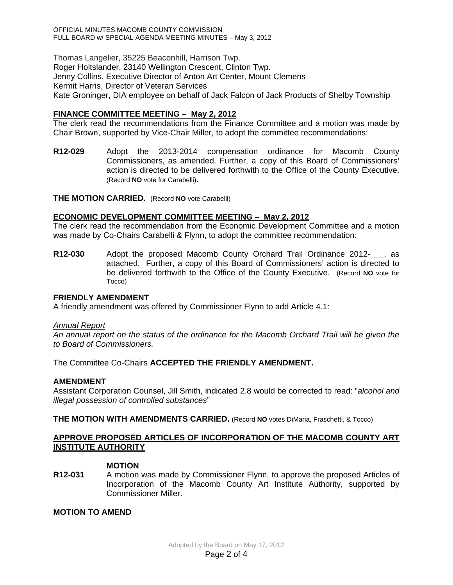OFFICIAL MINUTES MACOMB COUNTY COMMISSION FULL BOARD w/ SPECIAL AGENDA MEETING MINUTES – May 3, 2012

Thomas Langelier, 35225 Beaconhill, Harrison Twp. Roger Holtslander, 23140 Wellington Crescent, Clinton Twp. Jenny Collins, Executive Director of Anton Art Center, Mount Clemens Kermit Harris, Director of Veteran Services Kate Groninger, DIA employee on behalf of Jack Falcon of Jack Products of Shelby Township

### **FINANCE COMMITTEE MEETING – May 2, 2012**

The clerk read the recommendations from the Finance Committee and a motion was made by Chair Brown, supported by Vice-Chair Miller, to adopt the committee recommendations:

**R12-029** Adopt the 2013-2014 compensation ordinance for Macomb County Commissioners, as amended. Further, a copy of this Board of Commissioners' action is directed to be delivered forthwith to the Office of the County Executive. (Record **NO** vote for Carabelli).

**THE MOTION CARRIED.** (Record **NO** vote Carabelli)

### **ECONOMIC DEVELOPMENT COMMITTEE MEETING – May 2, 2012**

The clerk read the recommendation from the Economic Development Committee and a motion was made by Co-Chairs Carabelli & Flynn, to adopt the committee recommendation:

**R12-030** Adopt the proposed Macomb County Orchard Trail Ordinance 2012-\_\_\_, as attached. Further, a copy of this Board of Commissioners' action is directed to be delivered forthwith to the Office of the County Executive. (Record **NO** vote for Tocco)

### **FRIENDLY AMENDMENT**

A friendly amendment was offered by Commissioner Flynn to add Article 4.1:

#### *Annual Report*

*An annual report on the status of the ordinance for the Macomb Orchard Trail will be given the to Board of Commissioners.* 

The Committee Co-Chairs **ACCEPTED THE FRIENDLY AMENDMENT.**

### **AMENDMENT**

Assistant Corporation Counsel, Jill Smith, indicated 2.8 would be corrected to read: "*alcohol and illegal possession of controlled substances*"

**THE MOTION WITH AMENDMENTS CARRIED.** (Record **NO** votes DiMaria, Fraschetti, & Tocco)

### **APPROVE PROPOSED ARTICLES OF INCORPORATION OF THE MACOMB COUNTY ART INSTITUTE AUTHORITY**

#### **MOTION**

**R12-031** A motion was made by Commissioner Flynn, to approve the proposed Articles of Incorporation of the Macomb County Art Institute Authority, supported by Commissioner Miller.

**MOTION TO AMEND**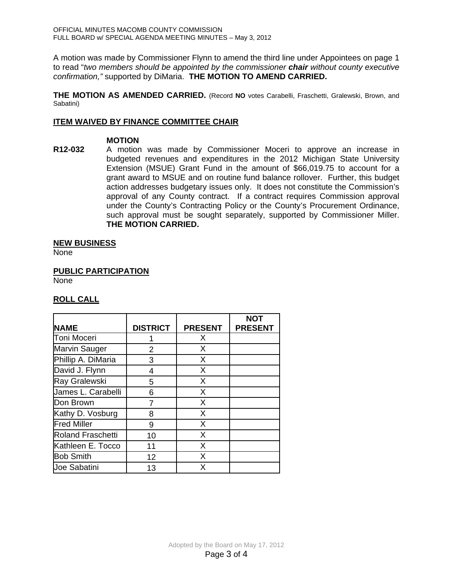A motion was made by Commissioner Flynn to amend the third line under Appointees on page 1 to read "*two members should be appointed by the commissioner chair without county executive confirmation,"* supported by DiMaria. **THE MOTION TO AMEND CARRIED.**

**THE MOTION AS AMENDED CARRIED.** (Record **NO** votes Carabelli, Fraschetti, Gralewski, Brown, and Sabatini)

### **ITEM WAIVED BY FINANCE COMMITTEE CHAIR**

### **MOTION**

**R12-032** A motion was made by Commissioner Moceri to approve an increase in budgeted revenues and expenditures in the 2012 Michigan State University Extension (MSUE) Grant Fund in the amount of \$66,019.75 to account for a grant award to MSUE and on routine fund balance rollover. Further, this budget action addresses budgetary issues only. It does not constitute the Commission's approval of any County contract. If a contract requires Commission approval under the County's Contracting Policy or the County's Procurement Ordinance, such approval must be sought separately, supported by Commissioner Miller. **THE MOTION CARRIED.** 

### **NEW BUSINESS**

None

**PUBLIC PARTICIPATION**

None

## **ROLL CALL**

|                          |                 |                | <b>NOT</b>     |
|--------------------------|-----------------|----------------|----------------|
| <b>NAME</b>              | <b>DISTRICT</b> | <b>PRESENT</b> | <b>PRESENT</b> |
| Toni Moceri              |                 | X              |                |
| <b>Marvin Sauger</b>     | 2               | X              |                |
| Phillip A. DiMaria       | 3               | X              |                |
| David J. Flynn           | 4               | X              |                |
| Ray Gralewski            | 5               | X              |                |
| James L. Carabelli       | 6               | X              |                |
| Don Brown                | 7               | X              |                |
| Kathy D. Vosburg         | 8               | X              |                |
| <b>Fred Miller</b>       | 9               | X              |                |
| <b>Roland Fraschetti</b> | 10              | X.             |                |
| Kathleen E. Tocco        | 11              | X              |                |
| <b>Bob Smith</b>         | 12              | X              |                |
| <b>Joe Sabatini</b>      | 13              | X              |                |